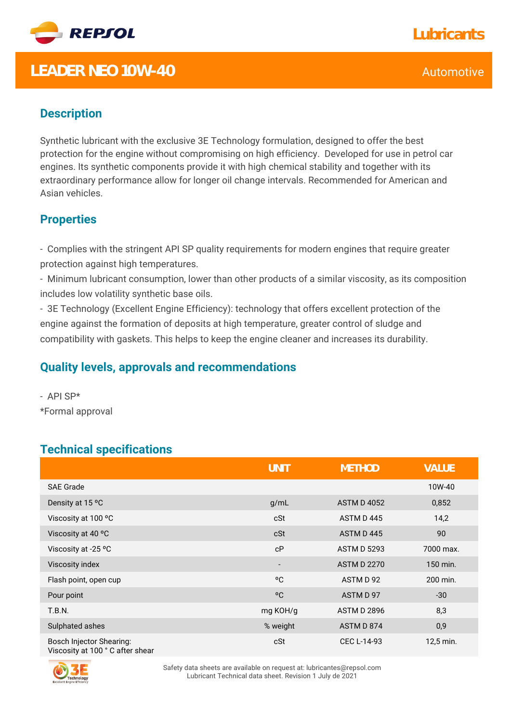

## **LEADER NEO 10W-40** Automotive

### **Description**

Synthetic lubricant with the exclusive 3E Technology formulation, designed to offer the best protection for the engine without compromising on high efficiency. Developed for use in petrol car engines. Its synthetic components provide it with high chemical stability and together with its extraordinary performance allow for longer oil change intervals. Recommended for American and Asian vehicles.

#### **Properties**

- Complies with the stringent API SP quality requirements for modern engines that require greater protection against high temperatures.

- Minimum lubricant consumption, lower than other products of a similar viscosity, as its composition includes low volatility synthetic base oils.

- 3E Technology (Excellent Engine Efficiency): technology that offers excellent protection of the engine against the formation of deposits at high temperature, greater control of sludge and compatibility with gaskets. This helps to keep the engine cleaner and increases its durability.

#### **Quality levels, approvals and recommendations**

- API SP\* \*Formal approval

#### **Technical specifications**

|                                                              | <b>UNIT</b>              | <b>METHOD</b>      | VALUE     |
|--------------------------------------------------------------|--------------------------|--------------------|-----------|
| <b>SAE Grade</b>                                             |                          |                    | 10W-40    |
| Density at 15 °C                                             | g/mL                     | <b>ASTM D 4052</b> | 0,852     |
| Viscosity at 100 °C                                          | cSt                      | ASTM D445          | 14,2      |
| Viscosity at 40 °C                                           | cSt                      | ASTM D445          | 90        |
| Viscosity at -25 °C                                          | cP                       | <b>ASTM D 5293</b> | 7000 max. |
| Viscosity index                                              | $\overline{\phantom{a}}$ | <b>ASTM D 2270</b> | 150 min.  |
| Flash point, open cup                                        | °C                       | ASTM D 92          | 200 min.  |
| Pour point                                                   | °C                       | ASTM D 97          | $-30$     |
| T.B.N.                                                       | mg KOH/g                 | <b>ASTM D 2896</b> | 8,3       |
| Sulphated ashes                                              | % weight                 | ASTM D 874         | 0,9       |
| Bosch Injector Shearing:<br>Viscosity at 100 ° C after shear | cSt                      | CEC L-14-93        | 12,5 min. |

Viscosity at 100 ° C after shear



Safety data sheets are available on request at: lubricantes@repsol.com Lubricant Technical data sheet. Revision 1 July de 2021